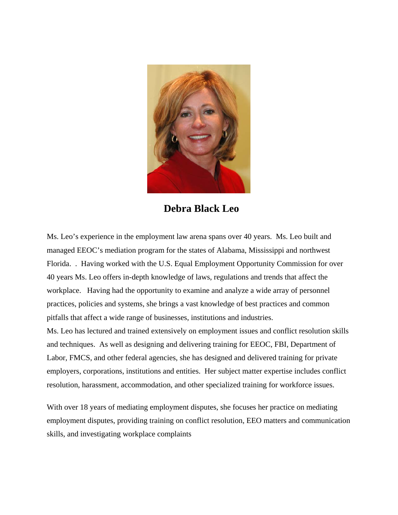

 **Debra Black Leo** 

Ms. Leo's experience in the employment law arena spans over 40 years. Ms. Leo built and managed EEOC's mediation program for the states of Alabama, Mississippi and northwest Florida. . Having worked with the U.S. Equal Employment Opportunity Commission for over 40 years Ms. Leo offers in-depth knowledge of laws, regulations and trends that affect the workplace. Having had the opportunity to examine and analyze a wide array of personnel practices, policies and systems, she brings a vast knowledge of best practices and common pitfalls that affect a wide range of businesses, institutions and industries.

Ms. Leo has lectured and trained extensively on employment issues and conflict resolution skills and techniques. As well as designing and delivering training for EEOC, FBI, Department of Labor, FMCS, and other federal agencies, she has designed and delivered training for private employers, corporations, institutions and entities. Her subject matter expertise includes conflict resolution, harassment, accommodation, and other specialized training for workforce issues.

With over 18 years of mediating employment disputes, she focuses her practice on mediating employment disputes, providing training on conflict resolution, EEO matters and communication skills, and investigating workplace complaints